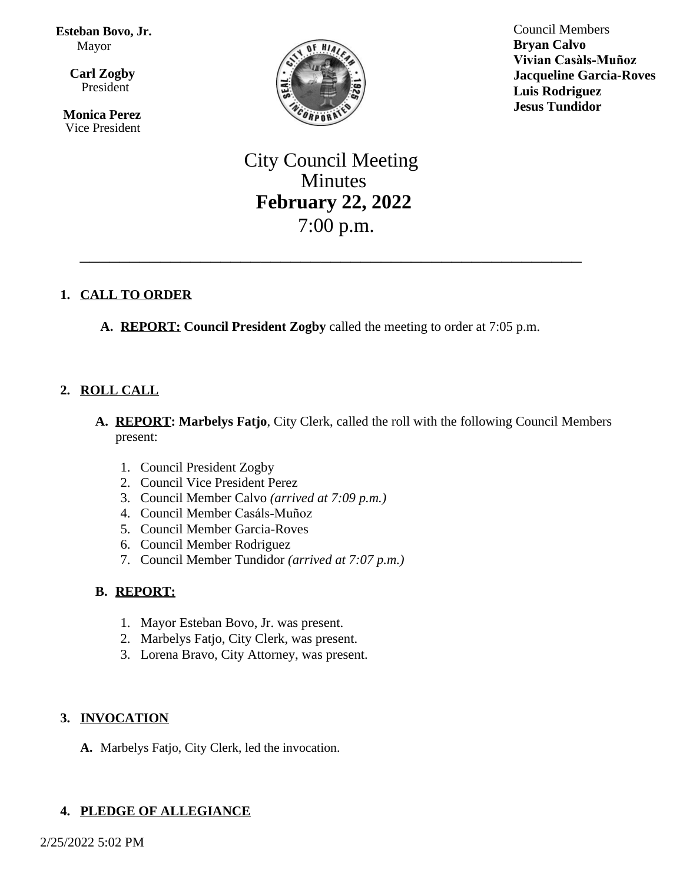## **Esteban Bovo, Jr.** Mayor

 $\overline{a}$ **Carl Zogby** President

> **Monica Perez** Vice President



Council Members **Bryan Calvo Vivian Casàls-Muñoz Jacqueline Garcia-Roves Luis Rodriguez Jesus Tundidor**

# City Council Meeting Minutes **February 22, 2022** 7:00 p.m.

\_\_\_\_\_\_\_\_\_\_\_\_\_\_\_\_\_\_\_\_\_\_\_\_\_\_\_\_\_\_\_\_\_\_\_\_\_\_\_\_\_\_\_\_\_\_\_\_\_\_

# **1. CALL TO ORDER**

**A. REPORT: Council President Zogby** called the meeting to order at 7:05 p.m.

# **2. ROLL CALL**

- **A. REPORT: Marbelys Fatjo**, City Clerk, called the roll with the following Council Members present:
	- 1. Council President Zogby
	- 2. Council Vice President Perez
	- 3. Council Member Calvo *(arrived at 7:09 p.m.)*
	- 4. Council Member Casáls-Muñoz
	- 5. Council Member Garcia-Roves
	- 6. Council Member Rodriguez
	- 7. Council Member Tundidor *(arrived at 7:07 p.m.)*

## **B. REPORT:**

- 1. Mayor Esteban Bovo, Jr. was present.
- 2. Marbelys Fatjo, City Clerk, was present.
- 3. Lorena Bravo, City Attorney, was present.

## **3. INVOCATION**

**A.** Marbelys Fatjo, City Clerk, led the invocation.

# **4. PLEDGE OF ALLEGIANCE**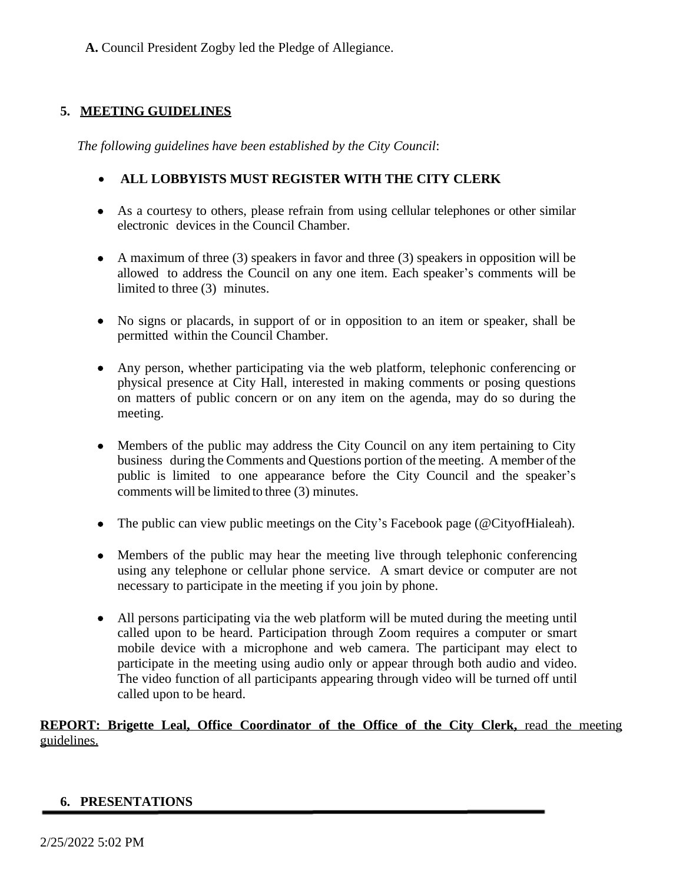**A.** Council President Zogby led the Pledge of Allegiance.

## **5. MEETING GUIDELINES**

*The following guidelines have been established by the City Council*:

## **ALL LOBBYISTS MUST REGISTER WITH THE CITY CLERK**

- As a courtesy to others, please refrain from using cellular telephones or other similar electronic devices in the Council Chamber.
- A maximum of three  $(3)$  speakers in favor and three  $(3)$  speakers in opposition will be allowed to address the Council on any one item. Each speaker's comments will be limited to three (3) minutes.
- No signs or placards, in support of or in opposition to an item or speaker, shall be permitted within the Council Chamber.
- Any person, whether participating via the web platform, telephonic conferencing or physical presence at City Hall, interested in making comments or posing questions on matters of public concern or on any item on the agenda, may do so during the meeting.
- Members of the public may address the City Council on any item pertaining to City business during the Comments and Questions portion of the meeting. A member of the public is limited to one appearance before the City Council and the speaker's comments will be limited to three (3) minutes.
- The public can view public meetings on the City's Facebook page (@CityofHialeah).
- Members of the public may hear the meeting live through telephonic conferencing using any telephone or cellular phone service. A smart device or computer are not necessary to participate in the meeting if you join by phone.
- All persons participating via the web platform will be muted during the meeting until called upon to be heard. Participation through Zoom requires a computer or smart mobile device with a microphone and web camera. The participant may elect to participate in the meeting using audio only or appear through both audio and video. The video function of all participants appearing through video will be turned off until called upon to be heard.

**REPORT: Brigette Leal, Office Coordinator of the Office of the City Clerk,** read the meeting guidelines.

#### **6. PRESENTATIONS**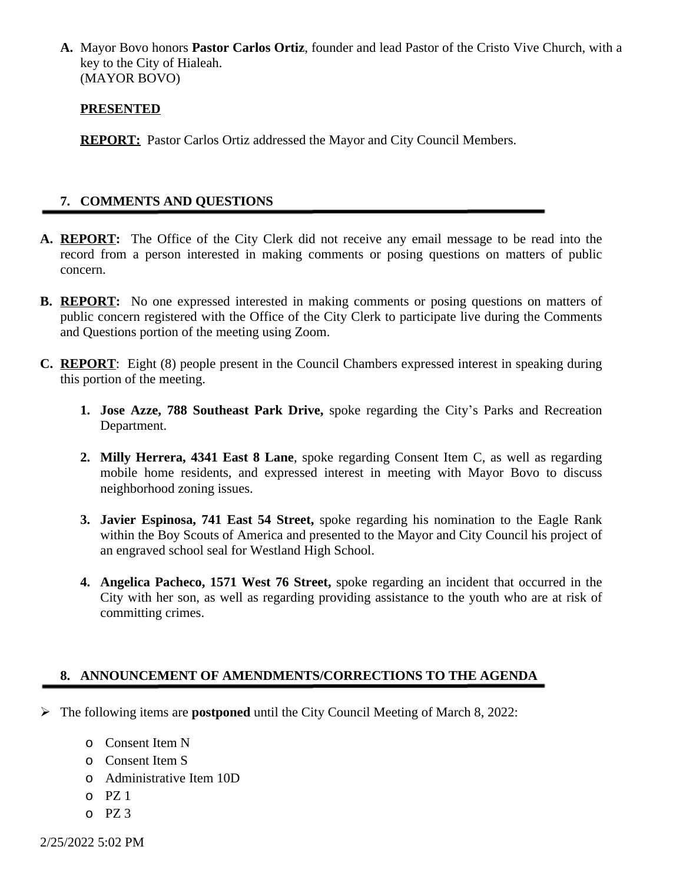**A.** Mayor Bovo honors **Pastor Carlos Ortiz**, founder and lead Pastor of the Cristo Vive Church, with a key to the City of Hialeah. (MAYOR BOVO)

#### **PRESENTED**

**REPORT:** Pastor Carlos Ortiz addressed the Mayor and City Council Members.

## **7. COMMENTS AND QUESTIONS**

- **A. REPORT:** The Office of the City Clerk did not receive any email message to be read into the record from a person interested in making comments or posing questions on matters of public concern.
- **B. REPORT:** No one expressed interested in making comments or posing questions on matters of public concern registered with the Office of the City Clerk to participate live during the Comments and Questions portion of the meeting using Zoom.
- **C. REPORT**: Eight (8) people present in the Council Chambers expressed interest in speaking during this portion of the meeting.
	- **1. Jose Azze, 788 Southeast Park Drive,** spoke regarding the City's Parks and Recreation Department.
	- **2. Milly Herrera, 4341 East 8 Lane**, spoke regarding Consent Item C, as well as regarding mobile home residents, and expressed interest in meeting with Mayor Bovo to discuss neighborhood zoning issues.
	- **3. Javier Espinosa, 741 East 54 Street,** spoke regarding his nomination to the Eagle Rank within the Boy Scouts of America and presented to the Mayor and City Council his project of an engraved school seal for Westland High School.
	- **4. Angelica Pacheco, 1571 West 76 Street,** spoke regarding an incident that occurred in the City with her son, as well as regarding providing assistance to the youth who are at risk of committing crimes.

## **8. ANNOUNCEMENT OF AMENDMENTS/CORRECTIONS TO THE AGENDA**

- The following items are **postponed** until the City Council Meeting of March 8, 2022:
	- o Consent Item N
	- o Consent Item S
	- o Administrative Item 10D
	- $O$  PZ 1
	- $O<sub>2</sub>$  PZ 3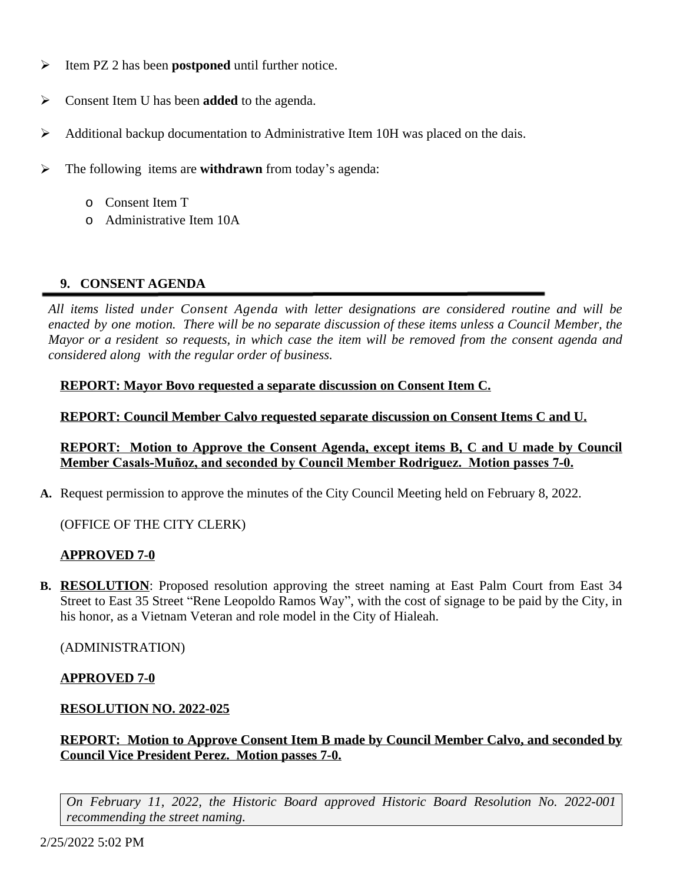- Item PZ 2 has been **postponed** until further notice.
- Consent Item U has been **added** to the agenda.
- Additional backup documentation to Administrative Item 10H was placed on the dais.
- The following items are **withdrawn** from today's agenda:
	- o Consent Item T
	- o Administrative Item 10A

#### **9. CONSENT AGENDA**

*All items listed under Consent Agenda with letter designations are considered routine and will be* enacted by one motion. There will be no separate discussion of these items unless a Council Member, the Mayor or a resident so requests, in which case the item will be removed from the consent agenda and *considered along with the regular order of business.*

#### **REPORT: Mayor Bovo requested a separate discussion on Consent Item C.**

**REPORT: Council Member Calvo requested separate discussion on Consent Items C and U.**

## **REPORT: Motion to Approve the Consent Agenda, except items B, C and U made by Council Member Casals-Muñoz, and seconded by Council Member Rodriguez. Motion passes 7-0.**

**A.** Request permission to approve the minutes of the City Council Meeting held on February 8, 2022.

(OFFICE OF THE CITY CLERK)

#### **APPROVED 7-0**

**B. RESOLUTION**: Proposed resolution approving the street naming at East Palm Court from East 34 Street to East 35 Street "Rene Leopoldo Ramos Way", with the cost of signage to be paid by the City, in his honor, as a Vietnam Veteran and role model in the City of Hialeah.

(ADMINISTRATION)

#### **APPROVED 7-0**

#### **RESOLUTION NO. 2022-025**

**REPORT: Motion to Approve Consent Item B made by Council Member Calvo, and seconded by Council Vice President Perez. Motion passes 7-0.**

*On February 11, 2022, the Historic Board approved Historic Board Resolution No. 2022-001 recommending the street naming.*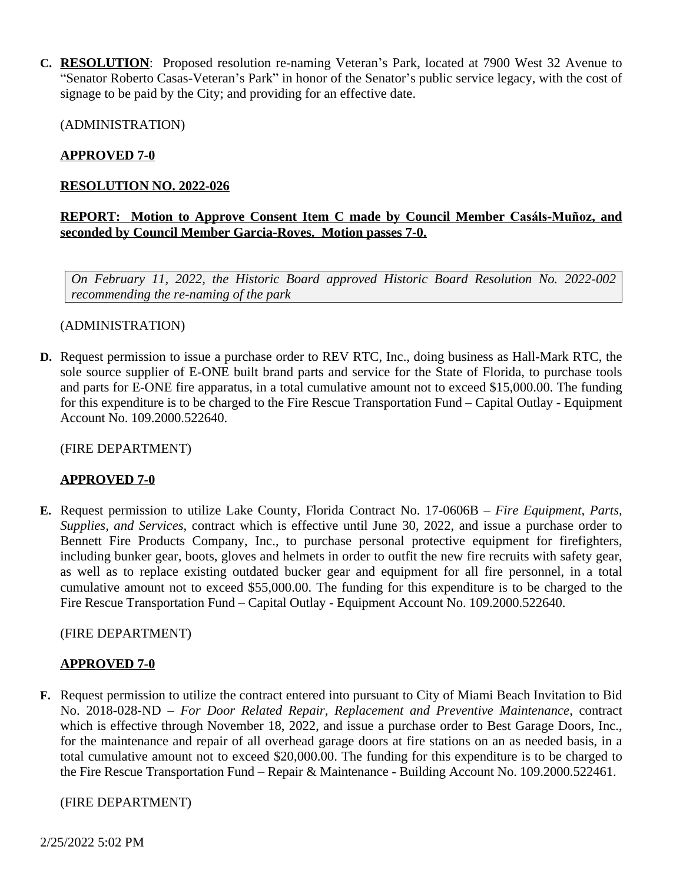**C. RESOLUTION**: Proposed resolution re-naming Veteran's Park, located at 7900 West 32 Avenue to "Senator Roberto Casas-Veteran's Park" in honor of the Senator's public service legacy, with the cost of signage to be paid by the City; and providing for an effective date.

(ADMINISTRATION)

## **APPROVED 7-0**

## **RESOLUTION NO. 2022-026**

## **REPORT: Motion to Approve Consent Item C made by Council Member Casáls-Muñoz, and seconded by Council Member Garcia-Roves. Motion passes 7-0.**

*On February 11, 2022, the Historic Board approved Historic Board Resolution No. 2022-002 recommending the re-naming of the park*

## (ADMINISTRATION)

**D.** Request permission to issue a purchase order to REV RTC, Inc., doing business as Hall-Mark RTC, the sole source supplier of E-ONE built brand parts and service for the State of Florida, to purchase tools and parts for E-ONE fire apparatus, in a total cumulative amount not to exceed \$15,000.00. The funding for this expenditure is to be charged to the Fire Rescue Transportation Fund – Capital Outlay - Equipment Account No. 109.2000.522640.

(FIRE DEPARTMENT)

## **APPROVED 7-0**

**E.** Request permission to utilize Lake County, Florida Contract No. 17-0606B – *Fire Equipment, Parts, Supplies, and Services*, contract which is effective until June 30, 2022, and issue a purchase order to Bennett Fire Products Company, Inc., to purchase personal protective equipment for firefighters, including bunker gear, boots, gloves and helmets in order to outfit the new fire recruits with safety gear, as well as to replace existing outdated bucker gear and equipment for all fire personnel, in a total cumulative amount not to exceed \$55,000.00. The funding for this expenditure is to be charged to the Fire Rescue Transportation Fund – Capital Outlay - Equipment Account No. 109.2000.522640.

#### (FIRE DEPARTMENT)

#### **APPROVED 7-0**

**F.** Request permission to utilize the contract entered into pursuant to City of Miami Beach Invitation to Bid No. 2018-028-ND – *For Door Related Repair, Replacement and Preventive Maintenance*, contract which is effective through November 18, 2022, and issue a purchase order to Best Garage Doors, Inc., for the maintenance and repair of all overhead garage doors at fire stations on an as needed basis, in a total cumulative amount not to exceed \$20,000.00. The funding for this expenditure is to be charged to the Fire Rescue Transportation Fund – Repair & Maintenance - Building Account No. 109.2000.522461.

#### (FIRE DEPARTMENT)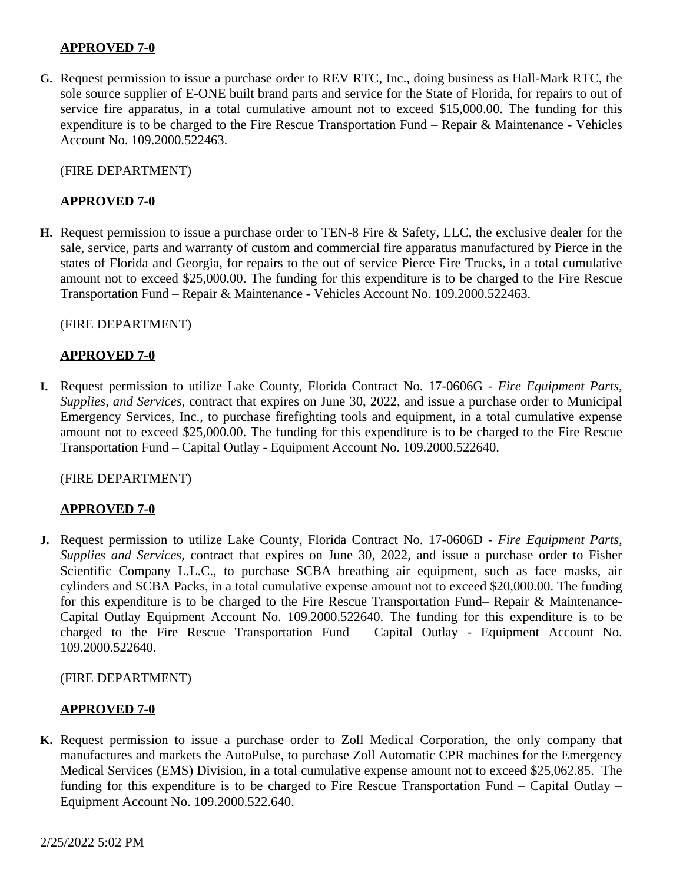## **APPROVED 7-0**

**G.** Request permission to issue a purchase order to REV RTC, Inc., doing business as Hall-Mark RTC, the sole source supplier of E-ONE built brand parts and service for the State of Florida, for repairs to out of service fire apparatus, in a total cumulative amount not to exceed \$15,000.00. The funding for this expenditure is to be charged to the Fire Rescue Transportation Fund – Repair & Maintenance - Vehicles Account No. 109.2000.522463.

(FIRE DEPARTMENT)

## **APPROVED 7-0**

**H.** Request permission to issue a purchase order to TEN-8 Fire & Safety, LLC, the exclusive dealer for the sale, service, parts and warranty of custom and commercial fire apparatus manufactured by Pierce in the states of Florida and Georgia, for repairs to the out of service Pierce Fire Trucks, in a total cumulative amount not to exceed \$25,000.00. The funding for this expenditure is to be charged to the Fire Rescue Transportation Fund – Repair & Maintenance - Vehicles Account No. 109.2000.522463.

(FIRE DEPARTMENT)

## **APPROVED 7-0**

**I.** Request permission to utilize Lake County, Florida Contract No. 17-0606G - *Fire Equipment Parts, Supplies, and Services,* contract that expires on June 30, 2022, and issue a purchase order to Municipal Emergency Services, Inc., to purchase firefighting tools and equipment, in a total cumulative expense amount not to exceed \$25,000.00. The funding for this expenditure is to be charged to the Fire Rescue Transportation Fund – Capital Outlay - Equipment Account No. 109.2000.522640.

#### (FIRE DEPARTMENT)

## **APPROVED 7-0**

**J.** Request permission to utilize Lake County, Florida Contract No. 17-0606D - *Fire Equipment Parts, Supplies and Services,* contract that expires on June 30, 2022*,* and issue a purchase order to Fisher Scientific Company L.L.C., to purchase SCBA breathing air equipment, such as face masks, air cylinders and SCBA Packs, in a total cumulative expense amount not to exceed \$20,000.00. The funding for this expenditure is to be charged to the Fire Rescue Transportation Fund– Repair & Maintenance-Capital Outlay Equipment Account No. 109.2000.522640. The funding for this expenditure is to be charged to the Fire Rescue Transportation Fund – Capital Outlay - Equipment Account No. 109.2000.522640.

#### (FIRE DEPARTMENT)

## **APPROVED 7-0**

**K.** Request permission to issue a purchase order to Zoll Medical Corporation, the only company that manufactures and markets the AutoPulse, to purchase Zoll Automatic CPR machines for the Emergency Medical Services (EMS) Division, in a total cumulative expense amount not to exceed \$25,062.85. The funding for this expenditure is to be charged to Fire Rescue Transportation Fund – Capital Outlay – Equipment Account No. 109.2000.522.640.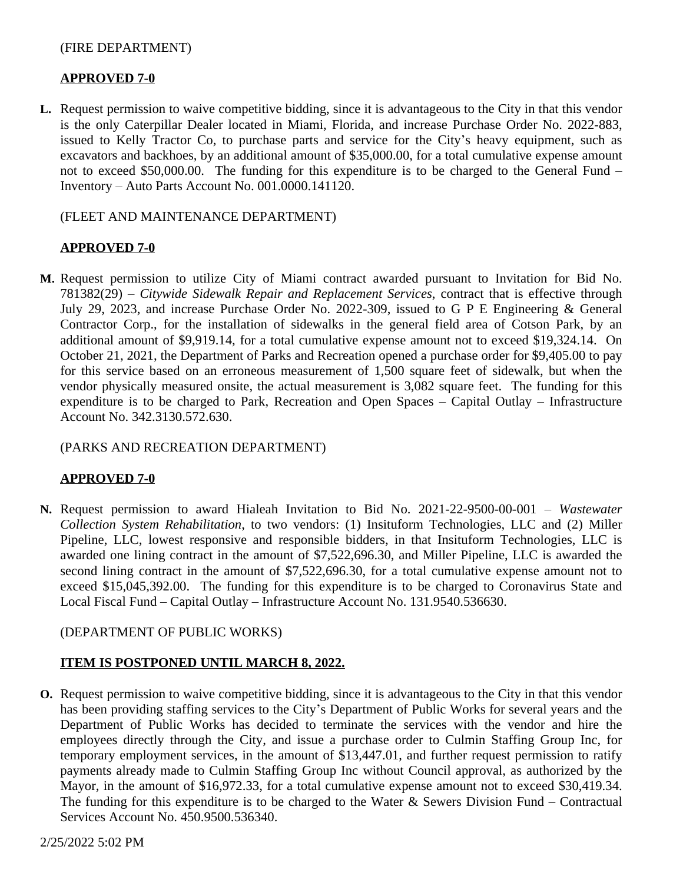## (FIRE DEPARTMENT)

#### **APPROVED 7-0**

**L.** Request permission to waive competitive bidding, since it is advantageous to the City in that this vendor is the only Caterpillar Dealer located in Miami, Florida, and increase Purchase Order No. 2022-883, issued to Kelly Tractor Co, to purchase parts and service for the City's heavy equipment, such as excavators and backhoes, by an additional amount of \$35,000.00, for a total cumulative expense amount not to exceed \$50,000.00. The funding for this expenditure is to be charged to the General Fund – Inventory – Auto Parts Account No. 001.0000.141120.

(FLEET AND MAINTENANCE DEPARTMENT)

#### **APPROVED 7-0**

**M.** Request permission to utilize City of Miami contract awarded pursuant to Invitation for Bid No. 781382(29) – *Citywide Sidewalk Repair and Replacement Services*, contract that is effective through July 29, 2023, and increase Purchase Order No. 2022-309, issued to G P E Engineering & General Contractor Corp., for the installation of sidewalks in the general field area of Cotson Park, by an additional amount of \$9,919.14, for a total cumulative expense amount not to exceed \$19,324.14. On October 21, 2021, the Department of Parks and Recreation opened a purchase order for \$9,405.00 to pay for this service based on an erroneous measurement of 1,500 square feet of sidewalk, but when the vendor physically measured onsite, the actual measurement is 3,082 square feet. The funding for this expenditure is to be charged to Park, Recreation and Open Spaces – Capital Outlay – Infrastructure Account No. 342.3130.572.630.

#### (PARKS AND RECREATION DEPARTMENT)

#### **APPROVED 7-0**

**N.** Request permission to award Hialeah Invitation to Bid No. 2021-22-9500-00-001 – *Wastewater Collection System Rehabilitation*, to two vendors: (1) Insituform Technologies, LLC and (2) Miller Pipeline, LLC, lowest responsive and responsible bidders, in that Insituform Technologies, LLC is awarded one lining contract in the amount of \$7,522,696.30, and Miller Pipeline, LLC is awarded the second lining contract in the amount of \$7,522,696.30, for a total cumulative expense amount not to exceed \$15,045,392.00. The funding for this expenditure is to be charged to Coronavirus State and Local Fiscal Fund – Capital Outlay – Infrastructure Account No. 131.9540.536630.

#### (DEPARTMENT OF PUBLIC WORKS)

#### **ITEM IS POSTPONED UNTIL MARCH 8, 2022.**

**O.** Request permission to waive competitive bidding, since it is advantageous to the City in that this vendor has been providing staffing services to the City's Department of Public Works for several years and the Department of Public Works has decided to terminate the services with the vendor and hire the employees directly through the City, and issue a purchase order to Culmin Staffing Group Inc, for temporary employment services, in the amount of \$13,447.01, and further request permission to ratify payments already made to Culmin Staffing Group Inc without Council approval, as authorized by the Mayor, in the amount of \$16,972.33, for a total cumulative expense amount not to exceed \$30,419.34. The funding for this expenditure is to be charged to the Water  $\&$  Sewers Division Fund – Contractual Services Account No. 450.9500.536340.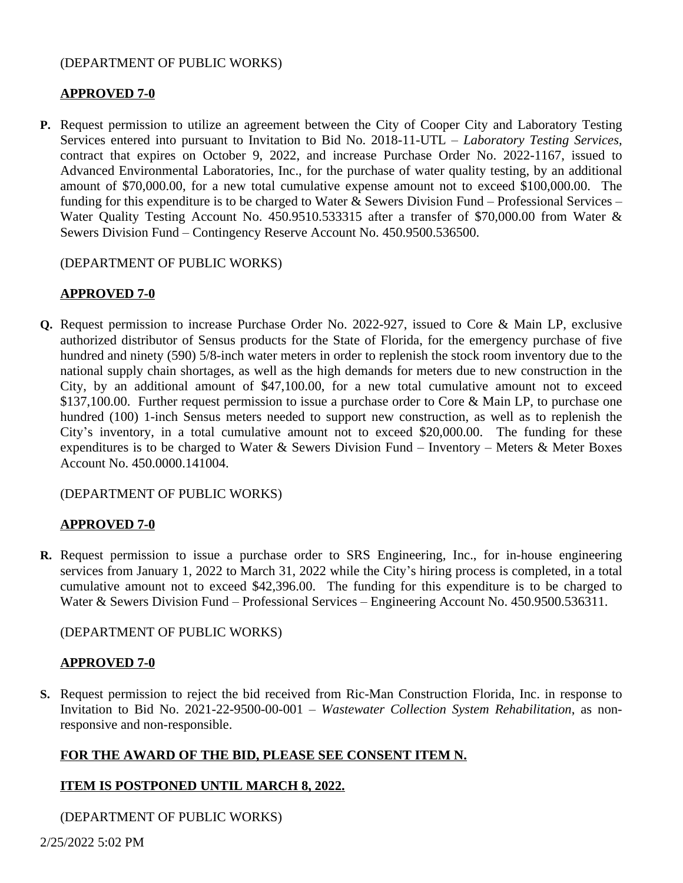#### (DEPARTMENT OF PUBLIC WORKS)

## **APPROVED 7-0**

**P.** Request permission to utilize an agreement between the City of Cooper City and Laboratory Testing Services entered into pursuant to Invitation to Bid No. 2018-11-UTL – *Laboratory Testing Services*, contract that expires on October 9, 2022, and increase Purchase Order No. 2022-1167, issued to Advanced Environmental Laboratories, Inc., for the purchase of water quality testing, by an additional amount of \$70,000.00, for a new total cumulative expense amount not to exceed \$100,000.00. The funding for this expenditure is to be charged to Water & Sewers Division Fund – Professional Services – Water Quality Testing Account No. 450.9510.533315 after a transfer of \$70,000.00 from Water & Sewers Division Fund – Contingency Reserve Account No. 450.9500.536500.

#### (DEPARTMENT OF PUBLIC WORKS)

## **APPROVED 7-0**

**Q.** Request permission to increase Purchase Order No. 2022-927, issued to Core & Main LP, exclusive authorized distributor of Sensus products for the State of Florida, for the emergency purchase of five hundred and ninety (590) 5/8-inch water meters in order to replenish the stock room inventory due to the national supply chain shortages, as well as the high demands for meters due to new construction in the City, by an additional amount of \$47,100.00, for a new total cumulative amount not to exceed \$137,100.00. Further request permission to issue a purchase order to Core & Main LP, to purchase one hundred (100) 1-inch Sensus meters needed to support new construction, as well as to replenish the City's inventory, in a total cumulative amount not to exceed \$20,000.00. The funding for these expenditures is to be charged to Water & Sewers Division Fund – Inventory – Meters & Meter Boxes Account No. 450.0000.141004.

#### (DEPARTMENT OF PUBLIC WORKS)

#### **APPROVED 7-0**

**R.** Request permission to issue a purchase order to SRS Engineering, Inc., for in-house engineering services from January 1, 2022 to March 31, 2022 while the City's hiring process is completed, in a total cumulative amount not to exceed \$42,396.00. The funding for this expenditure is to be charged to Water & Sewers Division Fund – Professional Services – Engineering Account No. 450.9500.536311.

#### (DEPARTMENT OF PUBLIC WORKS)

## **APPROVED 7-0**

**S.** Request permission to reject the bid received from Ric-Man Construction Florida, Inc. in response to Invitation to Bid No. 2021-22-9500-00-001 – *Wastewater Collection System Rehabilitation*, as nonresponsive and non-responsible.

## **FOR THE AWARD OF THE BID, PLEASE SEE CONSENT ITEM N.**

## **ITEM IS POSTPONED UNTIL MARCH 8, 2022.**

## (DEPARTMENT OF PUBLIC WORKS)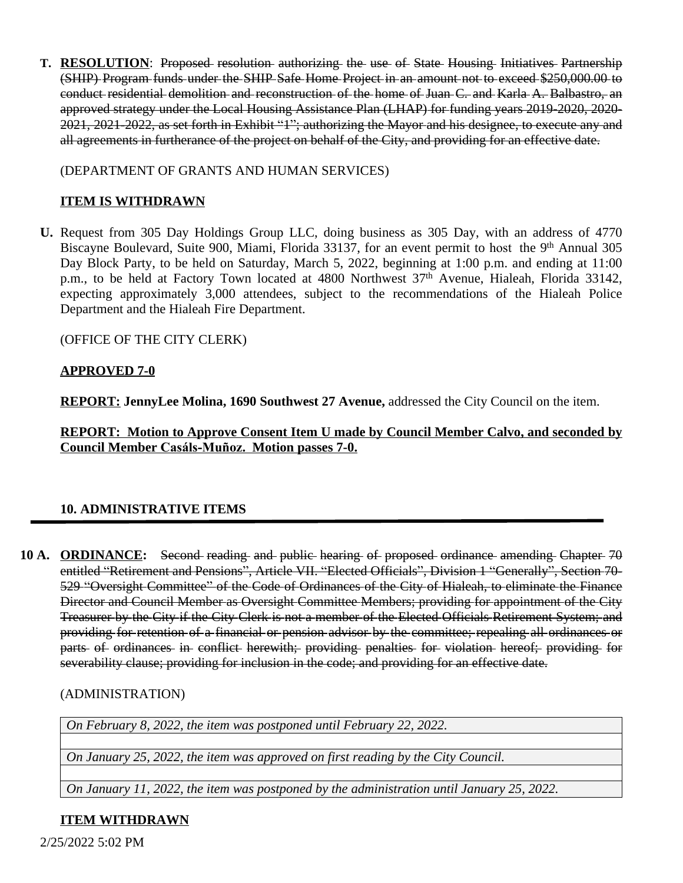**T. RESOLUTION**: Proposed resolution authorizing the use of State Housing Initiatives Partnership (SHIP) Program funds under the SHIP Safe Home Project in an amount not to exceed \$250,000.00 to conduct residential demolition and reconstruction of the home of Juan C. and Karla A. Balbastro, an approved strategy under the Local Housing Assistance Plan (LHAP) for funding years 2019-2020, 2020- 2021, 2021-2022, as set forth in Exhibit "1"; authorizing the Mayor and his designee, to execute any and all agreements in furtherance of the project on behalf of the City, and providing for an effective date.

## (DEPARTMENT OF GRANTS AND HUMAN SERVICES)

## **ITEM IS WITHDRAWN**

**U.** Request from 305 Day Holdings Group LLC, doing business as 305 Day, with an address of 4770 Biscayne Boulevard, Suite 900, Miami, Florida 33137, for an event permit to host the 9<sup>th</sup> Annual 305 Day Block Party, to be held on Saturday, March 5, 2022, beginning at 1:00 p.m. and ending at 11:00 p.m., to be held at Factory Town located at 4800 Northwest  $37<sup>th</sup>$  Avenue, Hialeah, Florida 33142, expecting approximately 3,000 attendees, subject to the recommendations of the Hialeah Police Department and the Hialeah Fire Department.

(OFFICE OF THE CITY CLERK)

## **APPROVED 7-0**

**REPORT: JennyLee Molina, 1690 Southwest 27 Avenue,** addressed the City Council on the item.

**REPORT: Motion to Approve Consent Item U made by Council Member Calvo, and seconded by Council Member Casáls-Muñoz. Motion passes 7-0.**

## **10. ADMINISTRATIVE ITEMS**

**10 A. ORDINANCE:** Second reading and public hearing of proposed ordinance amending Chapter 70 entitled "Retirement and Pensions", Article VII. "Elected Officials", Division 1 "Generally", Section 70- 529 "Oversight Committee" of the Code of Ordinances of the City of Hialeah, to eliminate the Finance Director and Council Member as Oversight Committee Members; providing for appointment of the City Treasurer by the City if the City Clerk is not a member of the Elected Officials Retirement System; and providing for retention of a financial or pension advisor by the committee; repealing all ordinances or parts of ordinances in conflict herewith; providing penalties for violation hereof; providing for severability clause; providing for inclusion in the code; and providing for an effective date.

#### (ADMINISTRATION)

*On February 8, 2022, the item was postponed until February 22, 2022.*

*On January 25, 2022, the item was approved on first reading by the City Council.*

*On January 11, 2022, the item was postponed by the administration until January 25, 2022.*

## **ITEM WITHDRAWN**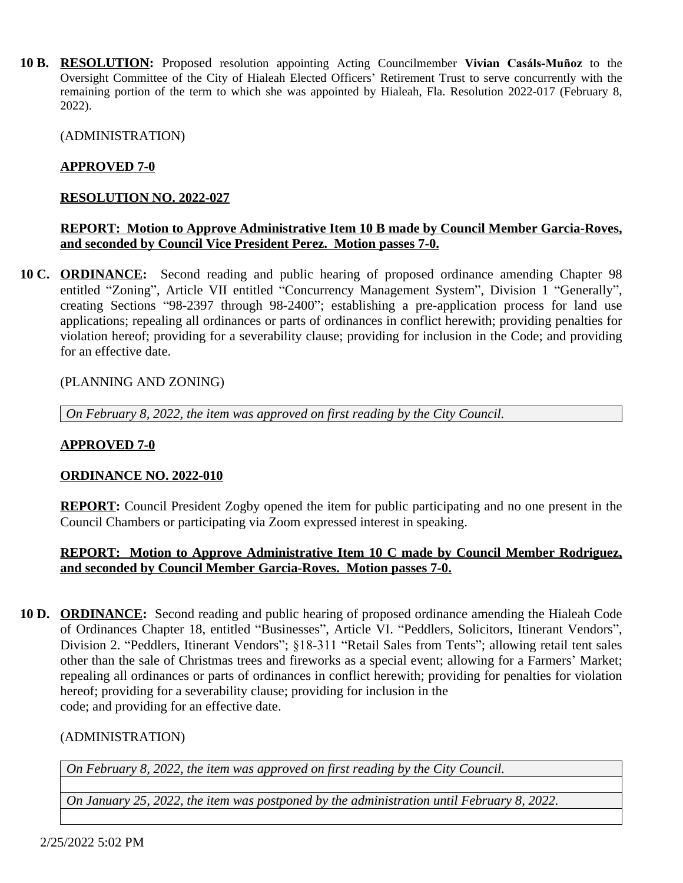**10 B. RESOLUTION:** Proposed resolution appointing Acting Councilmember **Vivian Casáls-Muñoz** to the Oversight Committee of the City of Hialeah Elected Officers' Retirement Trust to serve concurrently with the remaining portion of the term to which she was appointed by Hialeah, Fla. Resolution 2022-017 (February 8, 2022).

(ADMINISTRATION)

#### **APPROVED 7-0**

#### **RESOLUTION NO. 2022-027**

#### **REPORT: Motion to Approve Administrative Item 10 B made by Council Member Garcia-Roves, and seconded by Council Vice President Perez. Motion passes 7-0.**

**10 C. ORDINANCE:** Second reading and public hearing of proposed ordinance amending Chapter 98 entitled "Zoning", Article VII entitled "Concurrency Management System", Division 1 "Generally", creating Sections "98-2397 through 98-2400"; establishing a pre-application process for land use applications; repealing all ordinances or parts of ordinances in conflict herewith; providing penalties for violation hereof; providing for a severability clause; providing for inclusion in the Code; and providing for an effective date.

#### (PLANNING AND ZONING)

*On February 8, 2022, the item was approved on first reading by the City Council.*

#### **APPROVED 7-0**

#### **ORDINANCE NO. 2022-010**

**REPORT:** Council President Zogby opened the item for public participating and no one present in the Council Chambers or participating via Zoom expressed interest in speaking.

## **REPORT: Motion to Approve Administrative Item 10 C made by Council Member Rodriguez, and seconded by Council Member Garcia-Roves. Motion passes 7-0.**

**10 D. ORDINANCE:** Second reading and public hearing of proposed ordinance amending the Hialeah Code of Ordinances Chapter 18, entitled "Businesses", Article VI. "Peddlers, Solicitors, Itinerant Vendors", Division 2. "Peddlers, Itinerant Vendors"; §18-311 "Retail Sales from Tents"; allowing retail tent sales other than the sale of Christmas trees and fireworks as a special event; allowing for a Farmers' Market; repealing all ordinances or parts of ordinances in conflict herewith; providing for penalties for violation hereof; providing for a severability clause; providing for inclusion in the code; and providing for an effective date.

#### (ADMINISTRATION)

*On February 8, 2022, the item was approved on first reading by the City Council.*

*On January 25, 2022, the item was postponed by the administration until February 8, 2022.*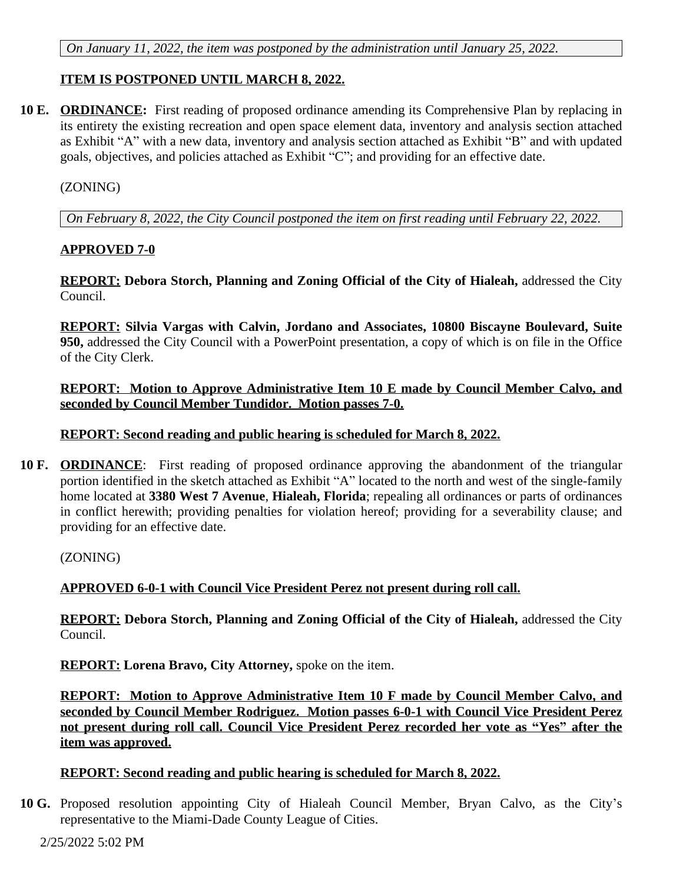*On January 11, 2022, the item was postponed by the administration until January 25, 2022.*

## **ITEM IS POSTPONED UNTIL MARCH 8, 2022.**

**10 E. ORDINANCE:** First reading of proposed ordinance amending its Comprehensive Plan by replacing in its entirety the existing recreation and open space element data, inventory and analysis section attached as Exhibit "A" with a new data, inventory and analysis section attached as Exhibit "B" and with updated goals, objectives, and policies attached as Exhibit "C"; and providing for an effective date.

## (ZONING)

*On February 8, 2022, the City Council postponed the item on first reading until February 22, 2022.*

## **APPROVED 7-0**

**REPORT: Debora Storch, Planning and Zoning Official of the City of Hialeah,** addressed the City Council.

**REPORT: Silvia Vargas with Calvin, Jordano and Associates, 10800 Biscayne Boulevard, Suite 950,** addressed the City Council with a PowerPoint presentation, a copy of which is on file in the Office of the City Clerk.

**REPORT: Motion to Approve Administrative Item 10 E made by Council Member Calvo, and seconded by Council Member Tundidor. Motion passes 7-0.**

## **REPORT: Second reading and public hearing is scheduled for March 8, 2022.**

**10 F. ORDINANCE**: First reading of proposed ordinance approving the abandonment of the triangular portion identified in the sketch attached as Exhibit "A" located to the north and west of the single-family home located at **3380 West 7 Avenue**, **Hialeah, Florida**; repealing all ordinances or parts of ordinances in conflict herewith; providing penalties for violation hereof; providing for a severability clause; and providing for an effective date.

(ZONING)

## **APPROVED 6-0-1 with Council Vice President Perez not present during roll call.**

**REPORT: Debora Storch, Planning and Zoning Official of the City of Hialeah,** addressed the City Council.

**REPORT: Lorena Bravo, City Attorney,** spoke on the item.

**REPORT: Motion to Approve Administrative Item 10 F made by Council Member Calvo, and seconded by Council Member Rodriguez. Motion passes 6-0-1 with Council Vice President Perez not present during roll call. Council Vice President Perez recorded her vote as "Yes" after the item was approved.**

#### **REPORT: Second reading and public hearing is scheduled for March 8, 2022.**

**10 G.** Proposed resolution appointing City of Hialeah Council Member, Bryan Calvo, as the City's representative to the Miami-Dade County League of Cities.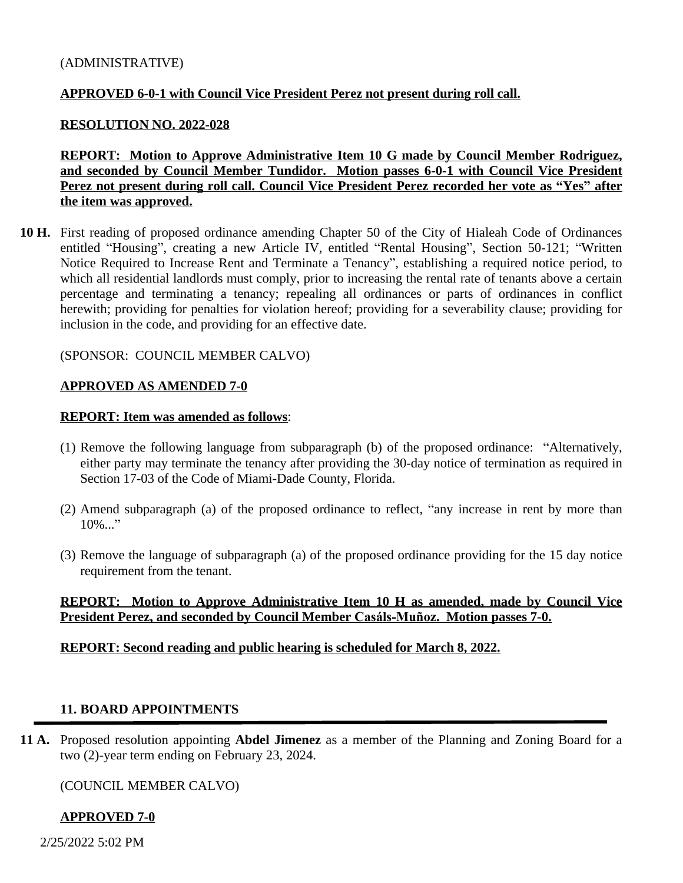#### (ADMINISTRATIVE)

#### **APPROVED 6-0-1 with Council Vice President Perez not present during roll call.**

#### **RESOLUTION NO. 2022-028**

**REPORT: Motion to Approve Administrative Item 10 G made by Council Member Rodriguez, and seconded by Council Member Tundidor. Motion passes 6-0-1 with Council Vice President Perez not present during roll call. Council Vice President Perez recorded her vote as "Yes" after the item was approved.**

**10 H.** First reading of proposed ordinance amending Chapter 50 of the City of Hialeah Code of Ordinances entitled "Housing", creating a new Article IV, entitled "Rental Housing", Section 50-121; "Written Notice Required to Increase Rent and Terminate a Tenancy", establishing a required notice period, to which all residential landlords must comply, prior to increasing the rental rate of tenants above a certain percentage and terminating a tenancy; repealing all ordinances or parts of ordinances in conflict herewith; providing for penalties for violation hereof; providing for a severability clause; providing for inclusion in the code, and providing for an effective date.

#### (SPONSOR: COUNCIL MEMBER CALVO)

#### **APPROVED AS AMENDED 7-0**

#### **REPORT: Item was amended as follows**:

- (1) Remove the following language from subparagraph (b) of the proposed ordinance: "Alternatively, either party may terminate the tenancy after providing the 30-day notice of termination as required in Section 17-03 of the Code of Miami-Dade County, Florida.
- (2) Amend subparagraph (a) of the proposed ordinance to reflect, "any increase in rent by more than  $10\%...$ "
- (3) Remove the language of subparagraph (a) of the proposed ordinance providing for the 15 day notice requirement from the tenant.

#### **REPORT: Motion to Approve Administrative Item 10 H as amended, made by Council Vice President Perez, and seconded by Council Member Casáls-Muñoz. Motion passes 7-0.**

#### **REPORT: Second reading and public hearing is scheduled for March 8, 2022.**

#### **11. BOARD APPOINTMENTS**

**11 A.** Proposed resolution appointing **Abdel Jimenez** as a member of the Planning and Zoning Board for a two (2)-year term ending on February 23, 2024.

(COUNCIL MEMBER CALVO)

#### **APPROVED 7-0**

2/25/2022 5:02 PM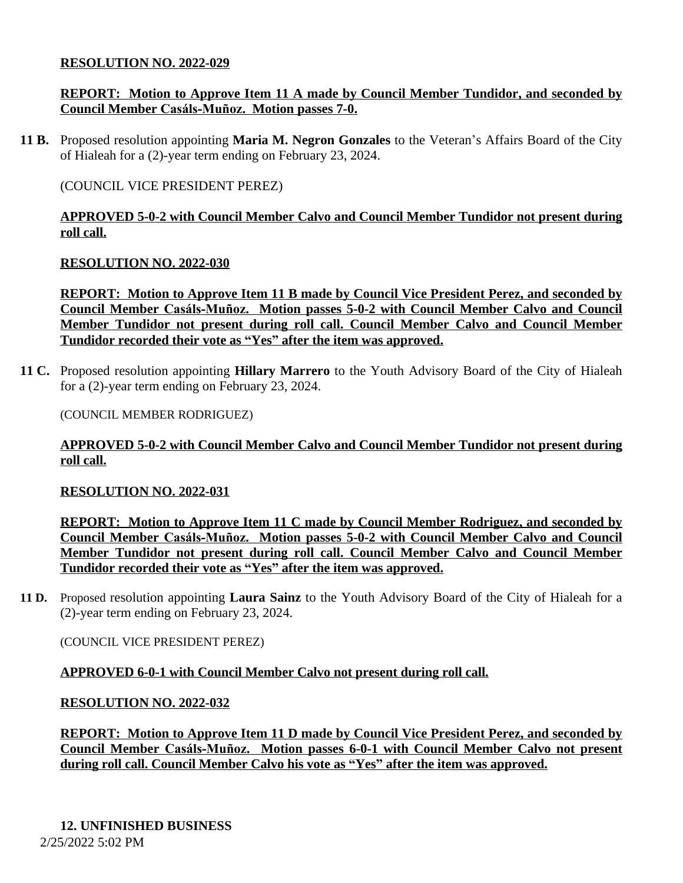#### **RESOLUTION NO. 2022-029**

## **REPORT: Motion to Approve Item 11 A made by Council Member Tundidor, and seconded by Council Member Casáls-Muñoz. Motion passes 7-0.**

**11 B.** Proposed resolution appointing **Maria M. Negron Gonzales** to the Veteran's Affairs Board of the City of Hialeah for a (2)-year term ending on February 23, 2024.

(COUNCIL VICE PRESIDENT PEREZ)

## **APPROVED 5-0-2 with Council Member Calvo and Council Member Tundidor not present during roll call.**

#### **RESOLUTION NO. 2022-030**

**REPORT: Motion to Approve Item 11 B made by Council Vice President Perez, and seconded by Council Member Casáls-Muñoz. Motion passes 5-0-2 with Council Member Calvo and Council Member Tundidor not present during roll call. Council Member Calvo and Council Member Tundidor recorded their vote as "Yes" after the item was approved.**

**11 C.** Proposed resolution appointing **Hillary Marrero** to the Youth Advisory Board of the City of Hialeah for a (2)-year term ending on February 23, 2024.

(COUNCIL MEMBER RODRIGUEZ)

## **APPROVED 5-0-2 with Council Member Calvo and Council Member Tundidor not present during roll call.**

**RESOLUTION NO. 2022-031**

**REPORT: Motion to Approve Item 11 C made by Council Member Rodriguez, and seconded by Council Member Casáls-Muñoz. Motion passes 5-0-2 with Council Member Calvo and Council Member Tundidor not present during roll call. Council Member Calvo and Council Member Tundidor recorded their vote as "Yes" after the item was approved.**

**11 D.** Proposed resolution appointing **Laura Sainz** to the Youth Advisory Board of the City of Hialeah for a (2)-year term ending on February 23, 2024.

(COUNCIL VICE PRESIDENT PEREZ)

#### **APPROVED 6-0-1 with Council Member Calvo not present during roll call.**

**RESOLUTION NO. 2022-032**

**REPORT: Motion to Approve Item 11 D made by Council Vice President Perez, and seconded by Council Member Casáls-Muñoz. Motion passes 6-0-1 with Council Member Calvo not present during roll call. Council Member Calvo his vote as "Yes" after the item was approved.**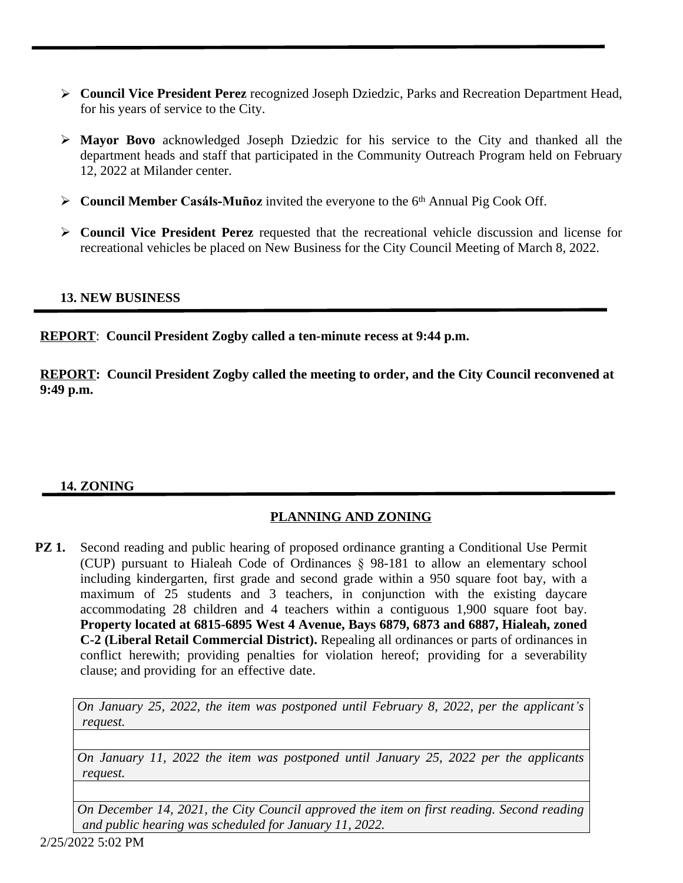- **Council Vice President Perez** recognized Joseph Dziedzic, Parks and Recreation Department Head, for his years of service to the City.
- **Mayor Bovo** acknowledged Joseph Dziedzic for his service to the City and thanked all the department heads and staff that participated in the Community Outreach Program held on February 12, 2022 at Milander center.
- **►** Council Member Casáls-Muñoz invited the everyone to the 6<sup>th</sup> Annual Pig Cook Off.
- **Council Vice President Perez** requested that the recreational vehicle discussion and license for recreational vehicles be placed on New Business for the City Council Meeting of March 8, 2022.

## **13. NEW BUSINESS**

**REPORT**: **Council President Zogby called a ten-minute recess at 9:44 p.m.**

**REPORT: Council President Zogby called the meeting to order, and the City Council reconvened at 9:49 p.m.**

## **14. ZONING**

# **PLANNING AND ZONING**

**PZ 1.** Second reading and public hearing of proposed ordinance granting a Conditional Use Permit (CUP) pursuant to Hialeah Code of Ordinances § 98-181 to allow an elementary school including kindergarten, first grade and second grade within a 950 square foot bay, with a maximum of 25 students and 3 teachers, in conjunction with the existing daycare accommodating 28 children and 4 teachers within a contiguous 1,900 square foot bay. **Property located at 6815-6895 West 4 Avenue, Bays 6879, 6873 and 6887, Hialeah, zoned C-2 (Liberal Retail Commercial District).** Repealing all ordinances or parts of ordinances in conflict herewith; providing penalties for violation hereof; providing for a severability clause; and providing for an effective date.

*On January 25, 2022, the item was postponed until February 8, 2022, per the applicant's request.*

*On January 11, 2022 the item was postponed until January 25, 2022 per the applicants request.*

*On December 14, 2021, the City Council approved the item on first reading. Second reading and public hearing was scheduled for January 11, 2022.*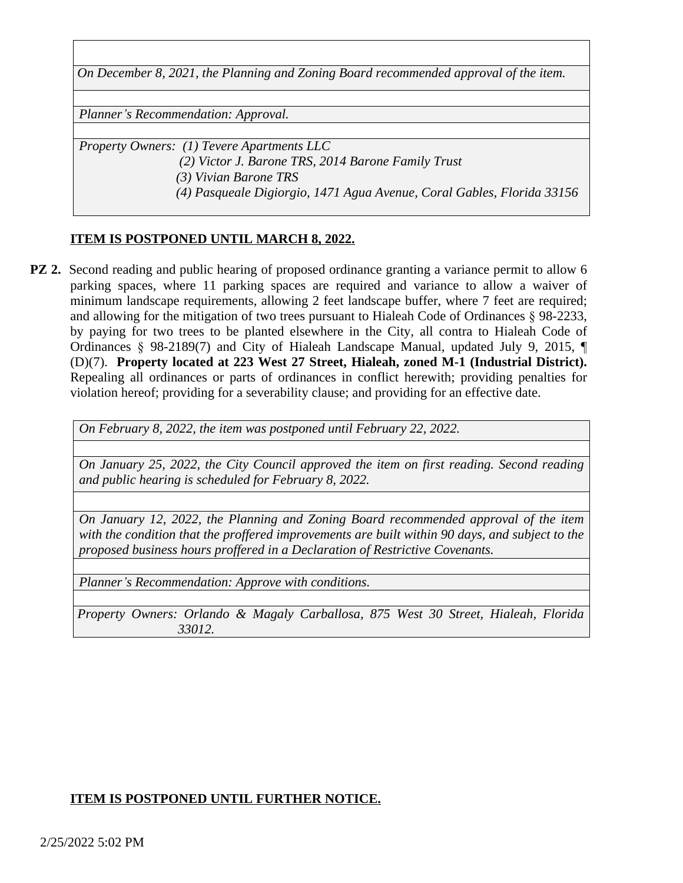*On December 8, 2021, the Planning and Zoning Board recommended approval of the item.*

*Planner's Recommendation: Approval.*

*Property Owners: (1) Tevere Apartments LLC (2) Victor J. Barone TRS, 2014 Barone Family Trust (3) Vivian Barone TRS (4) Pasqueale Digiorgio, 1471 Agua Avenue, Coral Gables, Florida 33156*

## **ITEM IS POSTPONED UNTIL MARCH 8, 2022.**

**PZ 2.** Second reading and public hearing of proposed ordinance granting a variance permit to allow 6 parking spaces, where 11 parking spaces are required and variance to allow a waiver of minimum landscape requirements, allowing 2 feet landscape buffer, where 7 feet are required; and allowing for the mitigation of two trees pursuant to Hialeah Code of Ordinances § 98-2233, by paying for two trees to be planted elsewhere in the City, all contra to Hialeah Code of Ordinances § 98-2189(7) and City of Hialeah Landscape Manual, updated July 9, 2015, ¶ (D)(7). **Property located at 223 West 27 Street, Hialeah, zoned M-1 (Industrial District).** Repealing all ordinances or parts of ordinances in conflict herewith; providing penalties for violation hereof; providing for a severability clause; and providing for an effective date.

*On February 8, 2022, the item was postponed until February 22, 2022.*

*On January 25, 2022, the City Council approved the item on first reading. Second reading and public hearing is scheduled for February 8, 2022.*

*On January 12, 2022, the Planning and Zoning Board recommended approval of the item with the condition that the proffered improvements are built within 90 days, and subject to the proposed business hours proffered in a Declaration of Restrictive Covenants.*

*Planner's Recommendation: Approve with conditions.*

*Property Owners: Orlando & Magaly Carballosa, 875 West 30 Street, Hialeah, Florida 33012.*

#### **ITEM IS POSTPONED UNTIL FURTHER NOTICE.**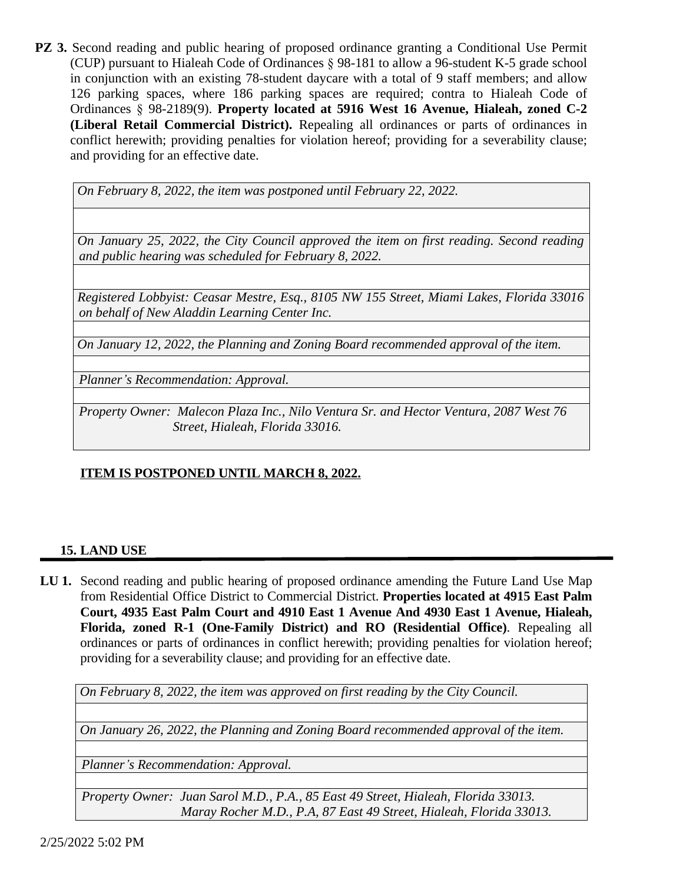**PZ 3.** Second reading and public hearing of proposed ordinance granting a Conditional Use Permit (CUP) pursuant to Hialeah Code of Ordinances § 98-181 to allow a 96-student K-5 grade school in conjunction with an existing 78-student daycare with a total of 9 staff members; and allow 126 parking spaces, where 186 parking spaces are required; contra to Hialeah Code of Ordinances § 98-2189(9). **Property located at 5916 West 16 Avenue, Hialeah, zoned C-2 (Liberal Retail Commercial District).** Repealing all ordinances or parts of ordinances in conflict herewith; providing penalties for violation hereof; providing for a severability clause; and providing for an effective date.

*On February 8, 2022, the item was postponed until February 22, 2022.*

*On January 25, 2022, the City Council approved the item on first reading. Second reading and public hearing was scheduled for February 8, 2022.*

*Registered Lobbyist: Ceasar Mestre, Esq., 8105 NW 155 Street, Miami Lakes, Florida 33016 on behalf of New Aladdin Learning Center Inc.* 

*On January 12, 2022, the Planning and Zoning Board recommended approval of the item.*

*Planner's Recommendation: Approval.*

*Property Owner: Malecon Plaza Inc., Nilo Ventura Sr. and Hector Ventura, 2087 West 76 Street, Hialeah, Florida 33016.*

# **ITEM IS POSTPONED UNTIL MARCH 8, 2022.**

#### **15. LAND USE**

**LU 1.** Second reading and public hearing of proposed ordinance amending the Future Land Use Map from Residential Office District to Commercial District. **Properties located at 4915 East Palm Court, 4935 East Palm Court and 4910 East 1 Avenue And 4930 East 1 Avenue, Hialeah, Florida, zoned R-1 (One-Family District) and RO (Residential Office)**. Repealing all ordinances or parts of ordinances in conflict herewith; providing penalties for violation hereof; providing for a severability clause; and providing for an effective date.

*On February 8, 2022, the item was approved on first reading by the City Council.*

*On January 26, 2022, the Planning and Zoning Board recommended approval of the item.*

*Planner's Recommendation: Approval.*

*Property Owner: Juan Sarol M.D., P.A., 85 East 49 Street, Hialeah, Florida 33013. Maray Rocher M.D., P.A, 87 East 49 Street, Hialeah, Florida 33013.*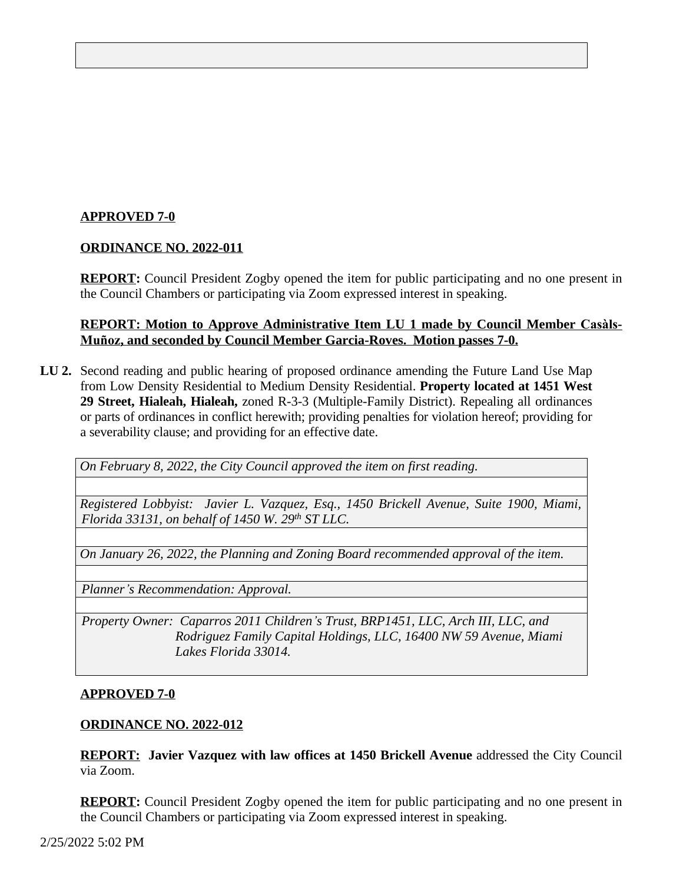## **APPROVED 7-0**

## **ORDINANCE NO. 2022-011**

**REPORT:** Council President Zogby opened the item for public participating and no one present in the Council Chambers or participating via Zoom expressed interest in speaking.

## **REPORT:** Motion to Approve Administrative Item LU 1 made by Council Member Casals-**Muñoz, and seconded by Council Member Garcia-Roves. Motion passes 7-0.**

**LU 2.** Second reading and public hearing of proposed ordinance amending the Future Land Use Map from Low Density Residential to Medium Density Residential. **Property located at 1451 West 29 Street, Hialeah, Hialeah,** zoned R-3-3 (Multiple-Family District). Repealing all ordinances or parts of ordinances in conflict herewith; providing penalties for violation hereof; providing for a severability clause; and providing for an effective date.

*On February 8, 2022, the City Council approved the item on first reading.*

*Registered Lobbyist: Javier L. Vazquez, Esq., 1450 Brickell Avenue, Suite 1900, Miami, Florida 33131, on behalf of 1450 W. 29th ST LLC.*

*On January 26, 2022, the Planning and Zoning Board recommended approval of the item.*

*Planner's Recommendation: Approval.*

*Property Owner: Caparros 2011 Children's Trust, BRP1451, LLC, Arch III, LLC, and Rodriguez Family Capital Holdings, LLC, 16400 NW 59 Avenue, Miami Lakes Florida 33014.*

## **APPROVED 7-0**

#### **ORDINANCE NO. 2022-012**

**REPORT: Javier Vazquez with law offices at 1450 Brickell Avenue** addressed the City Council via Zoom.

**REPORT:** Council President Zogby opened the item for public participating and no one present in the Council Chambers or participating via Zoom expressed interest in speaking.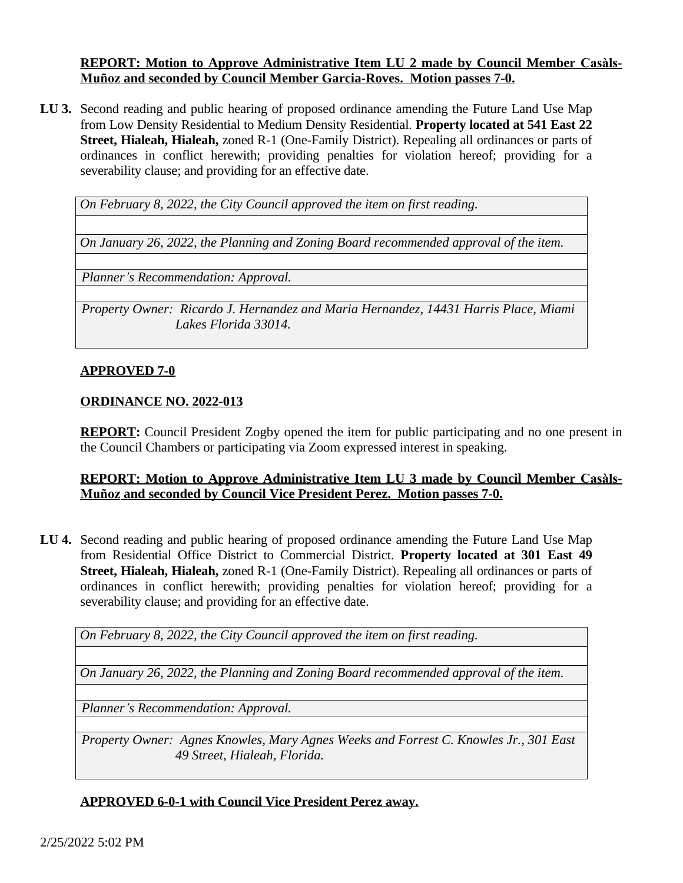#### **REPORT: Motion to Approve Administrative Item LU 2 made by Council Member Casàls-Muñoz and seconded by Council Member Garcia-Roves. Motion passes 7-0.**

**LU 3.** Second reading and public hearing of proposed ordinance amending the Future Land Use Map from Low Density Residential to Medium Density Residential. **Property located at 541 East 22 Street, Hialeah, Hialeah,** zoned R-1 (One-Family District). Repealing all ordinances or parts of ordinances in conflict herewith; providing penalties for violation hereof; providing for a severability clause; and providing for an effective date.

*On February 8, 2022, the City Council approved the item on first reading.*

*On January 26, 2022, the Planning and Zoning Board recommended approval of the item.*

*Planner's Recommendation: Approval.*

*Property Owner: Ricardo J. Hernandez and Maria Hernandez, 14431 Harris Place, Miami Lakes Florida 33014.*

## **APPROVED 7-0**

#### **ORDINANCE NO. 2022-013**

**REPORT:** Council President Zogby opened the item for public participating and no one present in the Council Chambers or participating via Zoom expressed interest in speaking.

## **REPORT:** Motion to Approve Administrative Item LU 3 made by Council Member Casals-**Muñoz and seconded by Council Vice President Perez. Motion passes 7-0.**

**LU 4.** Second reading and public hearing of proposed ordinance amending the Future Land Use Map from Residential Office District to Commercial District. **Property located at 301 East 49 Street, Hialeah, Hialeah,** zoned R-1 (One-Family District). Repealing all ordinances or parts of ordinances in conflict herewith; providing penalties for violation hereof; providing for a severability clause; and providing for an effective date.

*On February 8, 2022, the City Council approved the item on first reading.*

*On January 26, 2022, the Planning and Zoning Board recommended approval of the item.*

*Planner's Recommendation: Approval.*

*Property Owner: Agnes Knowles, Mary Agnes Weeks and Forrest C. Knowles Jr., 301 East 49 Street, Hialeah, Florida.*

#### **APPROVED 6-0-1 with Council Vice President Perez away.**